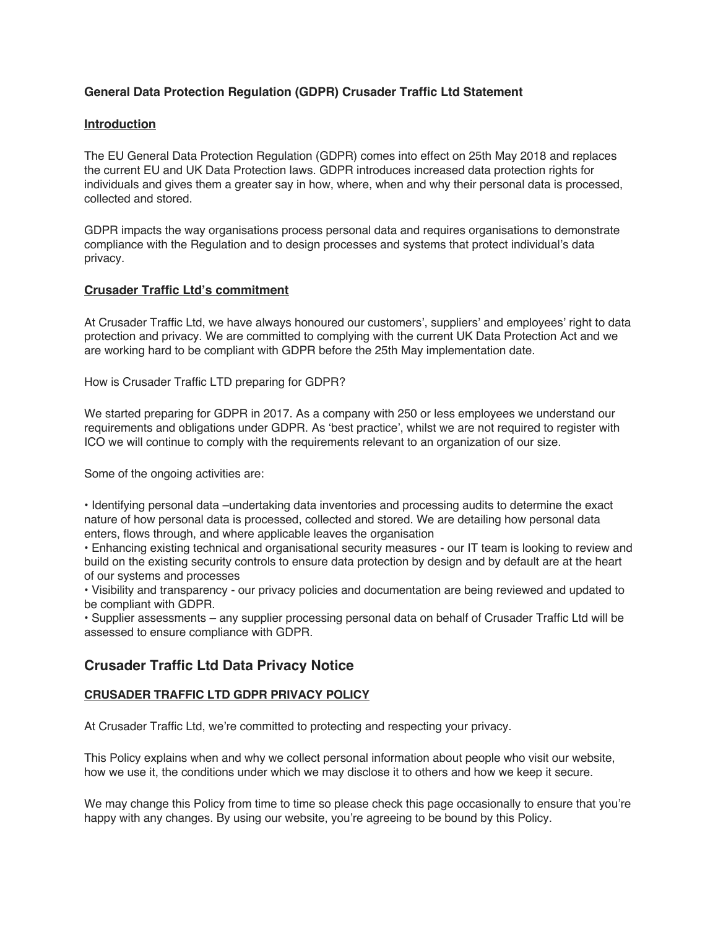## **General Data Protection Regulation (GDPR) Crusader Traffic Ltd Statement**

## **Introduction**

The EU General Data Protection Regulation (GDPR) comes into effect on 25th May 2018 and replaces the current EU and UK Data Protection laws. GDPR introduces increased data protection rights for individuals and gives them a greater say in how, where, when and why their personal data is processed, collected and stored.

GDPR impacts the way organisations process personal data and requires organisations to demonstrate compliance with the Regulation and to design processes and systems that protect individual's data privacy.

## **Crusader Traffic Ltd's commitment**

At Crusader Traffic Ltd, we have always honoured our customers', suppliers' and employees' right to data protection and privacy. We are committed to complying with the current UK Data Protection Act and we are working hard to be compliant with GDPR before the 25th May implementation date.

How is Crusader Traffic LTD preparing for GDPR?

We started preparing for GDPR in 2017. As a company with 250 or less employees we understand our requirements and obligations under GDPR. As 'best practice', whilst we are not required to register with ICO we will continue to comply with the requirements relevant to an organization of our size.

Some of the ongoing activities are:

• Identifying personal data –undertaking data inventories and processing audits to determine the exact nature of how personal data is processed, collected and stored. We are detailing how personal data enters, flows through, and where applicable leaves the organisation

• Enhancing existing technical and organisational security measures - our IT team is looking to review and build on the existing security controls to ensure data protection by design and by default are at the heart of our systems and processes

• Visibility and transparency - our privacy policies and documentation are being reviewed and updated to be compliant with GDPR.

• Supplier assessments – any supplier processing personal data on behalf of Crusader Traffic Ltd will be assessed to ensure compliance with GDPR.

# **Crusader Traffic Ltd Data Privacy Notice**

## **CRUSADER TRAFFIC LTD GDPR PRIVACY POLICY**

At Crusader Traffic Ltd, we're committed to protecting and respecting your privacy.

This Policy explains when and why we collect personal information about people who visit our website, how we use it, the conditions under which we may disclose it to others and how we keep it secure.

We may change this Policy from time to time so please check this page occasionally to ensure that you're happy with any changes. By using our website, you're agreeing to be bound by this Policy.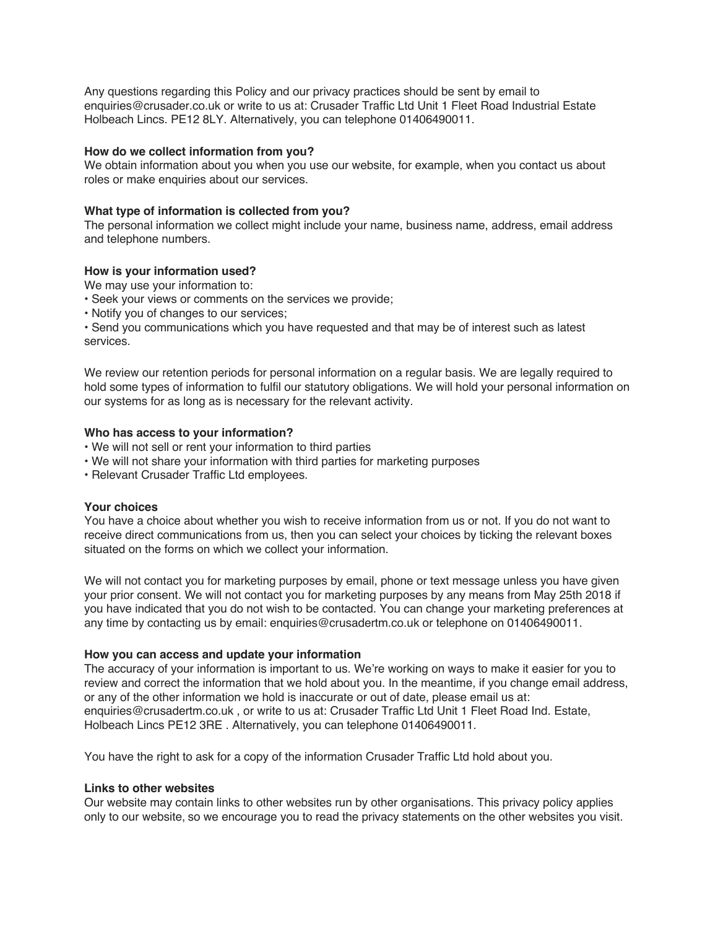Any questions regarding this Policy and our privacy practices should be sent by email to enquiries@crusader.co.uk or write to us at: Crusader Traffic Ltd Unit 1 Fleet Road Industrial Estate Holbeach Lincs. PE12 8LY. Alternatively, you can telephone 01406490011.

### **How do we collect information from you?**

We obtain information about you when you use our website, for example, when you contact us about roles or make enquiries about our services.

## **What type of information is collected from you?**

The personal information we collect might include your name, business name, address, email address and telephone numbers.

## **How is your information used?**

We may use your information to:

- Seek your views or comments on the services we provide;
- Notify you of changes to our services;

• Send you communications which you have requested and that may be of interest such as latest services.

We review our retention periods for personal information on a regular basis. We are legally required to hold some types of information to fulfil our statutory obligations. We will hold your personal information on our systems for as long as is necessary for the relevant activity.

## **Who has access to your information?**

- We will not sell or rent your information to third parties
- We will not share your information with third parties for marketing purposes
- Relevant Crusader Traffic Ltd employees.

#### **Your choices**

You have a choice about whether you wish to receive information from us or not. If you do not want to receive direct communications from us, then you can select your choices by ticking the relevant boxes situated on the forms on which we collect your information.

We will not contact you for marketing purposes by email, phone or text message unless you have given your prior consent. We will not contact you for marketing purposes by any means from May 25th 2018 if you have indicated that you do not wish to be contacted. You can change your marketing preferences at any time by contacting us by email: enquiries@crusadertm.co.uk or telephone on 01406490011.

#### **How you can access and update your information**

The accuracy of your information is important to us. We're working on ways to make it easier for you to review and correct the information that we hold about you. In the meantime, if you change email address, or any of the other information we hold is inaccurate or out of date, please email us at: enquiries@crusadertm.co.uk , or write to us at: Crusader Traffic Ltd Unit 1 Fleet Road Ind. Estate, Holbeach Lincs PE12 3RE . Alternatively, you can telephone 01406490011.

You have the right to ask for a copy of the information Crusader Traffic Ltd hold about you.

#### **Links to other websites**

Our website may contain links to other websites run by other organisations. This privacy policy applies only to our website, so we encourage you to read the privacy statements on the other websites you visit.